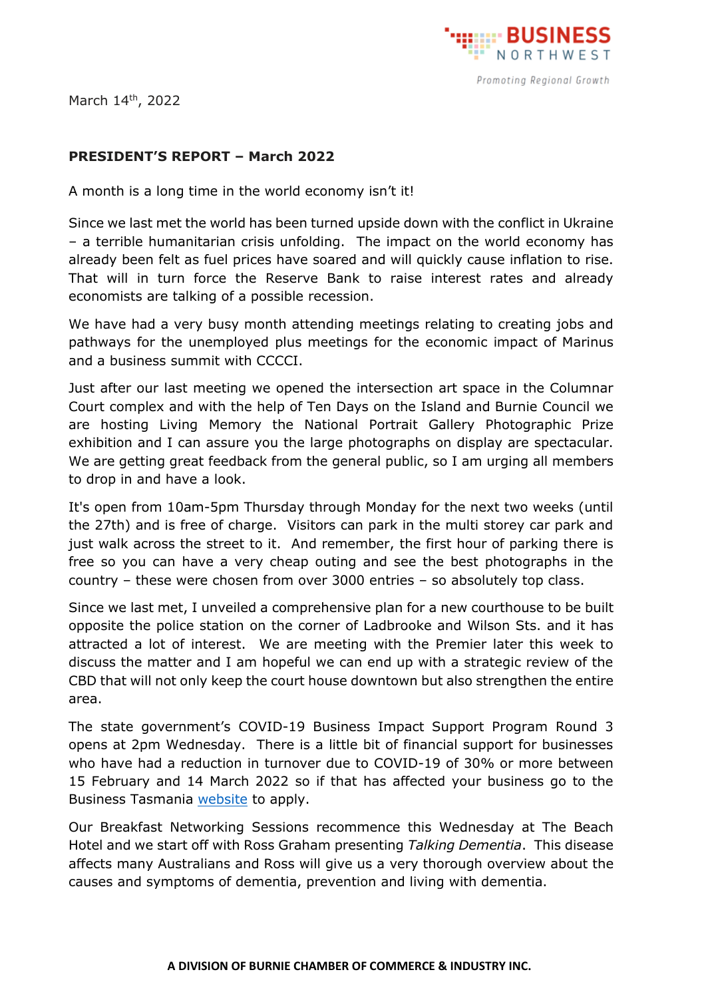

March 14th, 2022

## **PRESIDENT'S REPORT – March 2022**

A month is a long time in the world economy isn't it!

Since we last met the world has been turned upside down with the conflict in Ukraine – a terrible humanitarian crisis unfolding. The impact on the world economy has already been felt as fuel prices have soared and will quickly cause inflation to rise. That will in turn force the Reserve Bank to raise interest rates and already economists are talking of a possible recession.

We have had a very busy month attending meetings relating to creating jobs and pathways for the unemployed plus meetings for the economic impact of Marinus and a business summit with CCCCI.

Just after our last meeting we opened the intersection art space in the Columnar Court complex and with the help of Ten Days on the Island and Burnie Council we are hosting Living Memory the National Portrait Gallery Photographic Prize exhibition and I can assure you the large photographs on display are spectacular. We are getting great feedback from the general public, so I am urging all members to drop in and have a look.

It's open from 10am-5pm Thursday through Monday for the next two weeks (until the 27th) and is free of charge. Visitors can park in the multi storey car park and just walk across the street to it. And remember, the first hour of parking there is free so you can have a very cheap outing and see the best photographs in the country – these were chosen from over 3000 entries – so absolutely top class.

Since we last met, I unveiled a comprehensive plan for a new courthouse to be built opposite the police station on the corner of Ladbrooke and Wilson Sts. and it has attracted a lot of interest. We are meeting with the Premier later this week to discuss the matter and I am hopeful we can end up with a strategic review of the CBD that will not only keep the court house downtown but also strengthen the entire area.

The state government's COVID-19 Business Impact Support Program Round 3 opens at 2pm Wednesday. There is a little bit of financial support for businesses who have had a reduction in turnover due to COVID-19 of 30% or more between 15 February and 14 March 2022 so if that has affected your business go to the Business Tasmania [website](https://www.business.tas.gov.au/covid-19_business_support_packages/covid-19_business_impact_support_program_round_3) to apply.

Our Breakfast Networking Sessions recommence this Wednesday at The Beach Hotel and we start off with Ross Graham presenting *Talking Dementia*. This disease affects many Australians and Ross will give us a very thorough overview about the causes and symptoms of dementia, prevention and living with dementia.